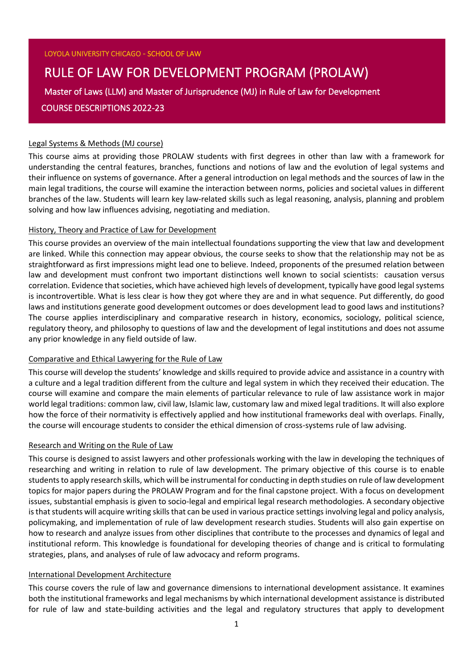# RULE OF LAW FOR DEVELOPMENT PROGRAM (PROLAW)

Master of Laws (LLM) and Master of Jurisprudence (MJ) in Rule of Law for Development COURSE DESCRIPTIONS 2022-23

#### Legal Systems & Methods (MJ course)

This course aims at providing those PROLAW students with first degrees in other than law with a framework for understanding the central features, branches, functions and notions of law and the evolution of legal systems and their influence on systems of governance. After a general introduction on legal methods and the sources of law in the main legal traditions, the course will examine the interaction between norms, policies and societal values in different branches of the law. Students will learn key law-related skills such as legal reasoning, analysis, planning and problem solving and how law influences advising, negotiating and mediation.

#### History, Theory and Practice of Law for Development

This course provides an overview of the main intellectual foundations supporting the view that law and development are linked. While this connection may appear obvious, the course seeks to show that the relationship may not be as straightforward as first impressions might lead one to believe. Indeed, proponents of the presumed relation between law and development must confront two important distinctions well known to social scientists: causation versus correlation. Evidence that societies, which have achieved high levels of development, typically have good legal systems is incontrovertible. What is less clear is how they got where they are and in what sequence. Put differently, do good laws and institutions generate good development outcomes or does development lead to good laws and institutions? The course applies interdisciplinary and comparative research in history, economics, sociology, political science, regulatory theory, and philosophy to questions of law and the development of legal institutions and does not assume any prior knowledge in any field outside of law.

#### Comparative and Ethical Lawyering for the Rule of Law

This course will develop the students' knowledge and skills required to provide advice and assistance in a country with a culture and a legal tradition different from the culture and legal system in which they received their education. The course will examine and compare the main elements of particular relevance to rule of law assistance work in major world legal traditions: common law, civil law, Islamic law, customary law and mixed legal traditions. It will also explore how the force of their normativity is effectively applied and how institutional frameworks deal with overlaps. Finally, the course will encourage students to consider the ethical dimension of cross-systems rule of law advising.

#### Research and Writing on the Rule of Law

This course is designed to assist lawyers and other professionals working with the law in developing the techniques of researching and writing in relation to rule of law development. The primary objective of this course is to enable students to apply research skills, which will be instrumental for conducting in depth studies on rule of law development topics for major papers during the PROLAW Program and for the final capstone project. With a focus on development issues, substantial emphasis is given to socio-legal and empirical legal research methodologies. A secondary objective is that students will acquire writing skills that can be used in various practice settings involving legal and policy analysis, policymaking, and implementation of rule of law development research studies. Students will also gain expertise on how to research and analyze issues from other disciplines that contribute to the processes and dynamics of legal and institutional reform. This knowledge is foundational for developing theories of change and is critical to formulating strategies, plans, and analyses of rule of law advocacy and reform programs.

#### International Development Architecture

This course covers the rule of law and governance dimensions to international development assistance. It examines both the institutional frameworks and legal mechanisms by which international development assistance is distributed for rule of law and state-building activities and the legal and regulatory structures that apply to development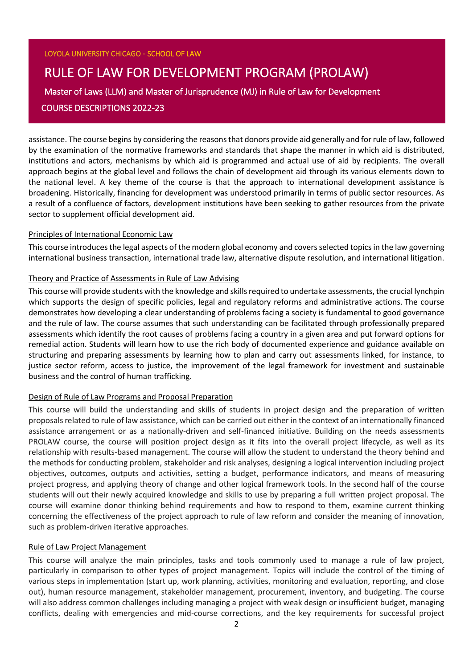#### LOYOLA UNIVERSITY CHICAGO - SCHOOL OF LAW

## RULE OF LAW FOR DEVELOPMENT PROGRAM (PROLAW) Master of Laws (LLM) and Master of Jurisprudence (MJ) in Rule of Law for Development COURSE DESCRIPTIONS 2022-23

assistance. The course begins by considering the reasonsthat donors provide aid generally and forrule of law, followed by the examination of the normative frameworks and standards that shape the manner in which aid is distributed, institutions and actors, mechanisms by which aid is programmed and actual use of aid by recipients. The overall approach begins at the global level and follows the chain of development aid through its various elements down to the national level. A key theme of the course is that the approach to international development assistance is broadening. Historically, financing for development was understood primarily in terms of public sector resources. As a result of a confluence of factors, development institutions have been seeking to gather resources from the private sector to supplement official development aid.

#### Principles of International Economic Law

This course introduces the legal aspects of the modern global economy and covers selected topics in the law governing international business transaction, international trade law, alternative dispute resolution, and international litigation.

#### Theory and Practice of Assessments in Rule of Law Advising

This course will provide students with the knowledge and skills required to undertake assessments, the crucial lynchpin which supports the design of specific policies, legal and regulatory reforms and administrative actions. The course demonstrates how developing a clear understanding of problems facing a society is fundamental to good governance and the rule of law. The course assumes that such understanding can be facilitated through professionally prepared assessments which identify the root causes of problems facing a country in a given area and put forward options for remedial action. Students will learn how to use the rich body of documented experience and guidance available on structuring and preparing assessments by learning how to plan and carry out assessments linked, for instance, to justice sector reform, access to justice, the improvement of the legal framework for investment and sustainable business and the control of human trafficking.

#### Design of Rule of Law Programs and Proposal Preparation

This course will build the understanding and skills of students in project design and the preparation of written proposals related to rule of law assistance, which can be carried out either in the context of an internationally financed assistance arrangement or as a nationally-driven and self-financed initiative. Building on the needs assessments PROLAW course, the course will position project design as it fits into the overall project lifecycle, as well as its relationship with results-based management. The course will allow the student to understand the theory behind and the methods for conducting problem, stakeholder and risk analyses, designing a logical intervention including project objectives, outcomes, outputs and activities, setting a budget, performance indicators, and means of measuring project progress, and applying theory of change and other logical framework tools. In the second half of the course students will out their newly acquired knowledge and skills to use by preparing a full written project proposal. The course will examine donor thinking behind requirements and how to respond to them, examine current thinking concerning the effectiveness of the project approach to rule of law reform and consider the meaning of innovation, such as problem-driven iterative approaches.

#### Rule of Law Project Management

This course will analyze the main principles, tasks and tools commonly used to manage a rule of law project, particularly in comparison to other types of project management. Topics will include the control of the timing of various steps in implementation (start up, work planning, activities, monitoring and evaluation, reporting, and close out), human resource management, stakeholder management, procurement, inventory, and budgeting. The course will also address common challenges including managing a project with weak design or insufficient budget, managing conflicts, dealing with emergencies and mid-course corrections, and the key requirements for successful project